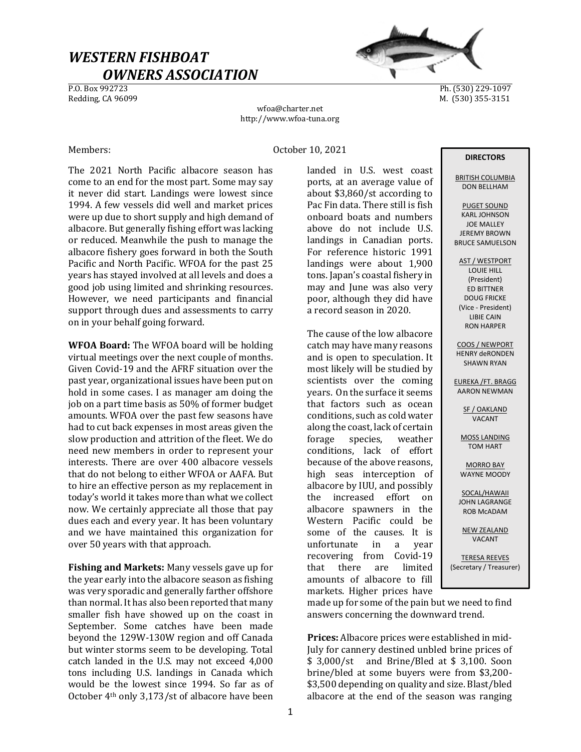# WESTERN FISHBOAT  $OWNERS ASSOCIATION$ </u>



Ph. (530) 229-1097 Redding, CA 96099 M. (530) 355-3151

wfoa@charter.net http://www.wfoa-tuna.org

# Members: October 10, 2021

The 2021 North Pacific albacore season has come to an end for the most part. Some may say it never did start. Landings were lowest since 1994. A few vessels did well and market prices were up due to short supply and high demand of albacore. But generally fishing effort was lacking or reduced. Meanwhile the push to manage the albacore fishery goes forward in both the South Pacific and North Pacific. WFOA for the past 25 years has stayed involved at all levels and does a good job using limited and shrinking resources. However, we need participants and financial support through dues and assessments to carry on in your behalf going forward.

WFOA Board: The WFOA board will be holding virtual meetings over the next couple of months. Given Covid-19 and the AFRF situation over the past year, organizational issues have been put on hold in some cases. I as manager am doing the job on a part time basis as 50% of former budget amounts. WFOA over the past few seasons have had to cut back expenses in most areas given the slow production and attrition of the fleet. We do need new members in order to represent your interests. There are over 400 albacore vessels that do not belong to either WFOA or AAFA. But to hire an effective person as my replacement in today's world it takes more than what we collect now. We certainly appreciate all those that pay dues each and every year. It has been voluntary and we have maintained this organization for over 50 years with that approach.

Fishing and Markets: Many vessels gave up for the year early into the albacore season as fishing was very sporadic and generally farther offshore than normal. It has also been reported that many smaller fish have showed up on the coast in September. Some catches have been made beyond the 129W-130W region and off Canada but winter storms seem to be developing. Total catch landed in the U.S. may not exceed 4,000 tons including U.S. landings in Canada which would be the lowest since 1994. So far as of October 4th only 3,173/st of albacore have been

landed in U.S. west coast ports, at an average value of about \$3,860/st according to Pac Fin data. There still is fish onboard boats and numbers above do not include U.S. landings in Canadian ports. For reference historic 1991 landings were about 1,900 tons. Japan's coastal fishery in may and June was also very poor, although they did have a record season in 2020.

The cause of the low albacore catch may have many reasons and is open to speculation. It most likely will be studied by scientists over the coming years. On the surface it seems that factors such as ocean conditions, such as cold water along the coast, lack of certain forage species, weather conditions, lack of effort because of the above reasons, high seas interception of albacore by IUU, and possibly the increased effort on albacore spawners in the Western Pacific could be some of the causes. It is unfortunate in a year recovering from Covid-19 that there are limited amounts of albacore to fill markets. Higher prices have

### DIRECTORS

BRITISH COLUMBIA DON BELLHAM

PUGET SOUND KARL JOHNSON JOE MALLEY JEREMY BROWN BRUCE SAMUELSON

AST / WESTPORT LOUIE HILL (President) ED BITTNER DOUG FRICKE (Vice - President) LIBIE CAIN RON HARPER

COOS / NEWPORT HENRY deRONDEN SHAWN RYAN

EUREKA /FT. BRAGG AARON NEWMAN

> SF / OAKLAND VACANT

MOSS LANDING TOM HART

MORRO BAY WAYNE MOODY

SOCAL/HAWAII JOHN LAGRANGE ROB McADAM

NEW ZEALAND

VACANT

TERESA REEVES (Secretary / Treasurer)

made up for some of the pain but we need to find answers concerning the downward trend.

Prices: Albacore prices were established in mid-July for cannery destined unbled brine prices of \$ 3,000/st and Brine/Bled at \$ 3,100. Soon brine/bled at some buyers were from \$3,200- \$3,500 depending on quality and size. Blast/bled albacore at the end of the season was ranging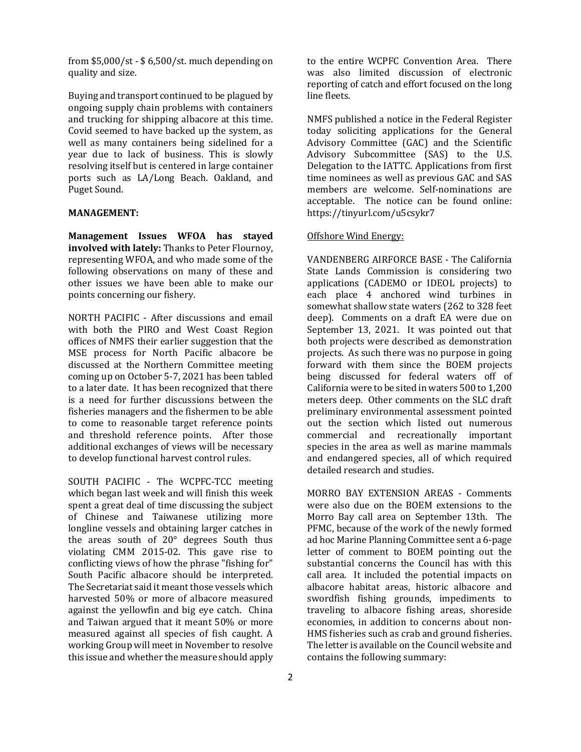from \$5,000/st - \$ 6,500/st. much depending on quality and size.

Buying and transport continued to be plagued by ongoing supply chain problems with containers and trucking for shipping albacore at this time. Covid seemed to have backed up the system, as well as many containers being sidelined for a year due to lack of business. This is slowly resolving itself but is centered in large container ports such as LA/Long Beach. Oakland, and Puget Sound.

#### MANAGEMENT:

Management Issues WFOA has stayed involved with lately: Thanks to Peter Flournoy, representing WFOA, and who made some of the following observations on many of these and other issues we have been able to make our points concerning our fishery.

NORTH PACIFIC - After discussions and email with both the PIRO and West Coast Region offices of NMFS their earlier suggestion that the MSE process for North Pacific albacore be discussed at the Northern Committee meeting coming up on October 5-7, 2021 has been tabled to a later date. It has been recognized that there is a need for further discussions between the fisheries managers and the fishermen to be able to come to reasonable target reference points and threshold reference points. After those additional exchanges of views will be necessary to develop functional harvest control rules.

SOUTH PACIFIC - The WCPFC-TCC meeting which began last week and will finish this week spent a great deal of time discussing the subject of Chinese and Taiwanese utilizing more longline vessels and obtaining larger catches in the areas south of 20° degrees South thus violating CMM 2015-02. This gave rise to conflicting views of how the phrase "fishing for" South Pacific albacore should be interpreted. The Secretariat said it meant those vessels which harvested 50% or more of albacore measured against the yellowfin and big eye catch. China and Taiwan argued that it meant 50% or more measured against all species of fish caught. A working Group will meet in November to resolve this issue and whether the measure should apply

to the entire WCPFC Convention Area. There was also limited discussion of electronic reporting of catch and effort focused on the long line fleets.

NMFS published a notice in the Federal Register today soliciting applications for the General Advisory Committee (GAC) and the Scientific Advisory Subcommittee (SAS) to the U.S. Delegation to the IATTC. Applications from first time nominees as well as previous GAC and SAS members are welcome. Self-nominations are acceptable. The notice can be found online: https://tinyurl.com/u5csykr7

#### Offshore Wind Energy:

VANDENBERG AIRFORCE BASE - The California State Lands Commission is considering two applications (CADEMO or IDEOL projects) to each place 4 anchored wind turbines in somewhat shallow state waters (262 to 328 feet deep). Comments on a draft EA were due on September 13, 2021. It was pointed out that both projects were described as demonstration projects. As such there was no purpose in going forward with them since the BOEM projects being discussed for federal waters off of California were to be sited in waters 500 to 1,200 meters deep. Other comments on the SLC draft preliminary environmental assessment pointed out the section which listed out numerous commercial and recreationally important species in the area as well as marine mammals and endangered species, all of which required detailed research and studies.

MORRO BAY EXTENSION AREAS - Comments were also due on the BOEM extensions to the Morro Bay call area on September 13th. The PFMC, because of the work of the newly formed ad hoc Marine Planning Committee sent a 6-page letter of comment to BOEM pointing out the substantial concerns the Council has with this call area. It included the potential impacts on albacore habitat areas, historic albacore and swordfish fishing grounds, impediments to traveling to albacore fishing areas, shoreside economies, in addition to concerns about non-HMS fisheries such as crab and ground fisheries. The letter is available on the Council website and contains the following summary: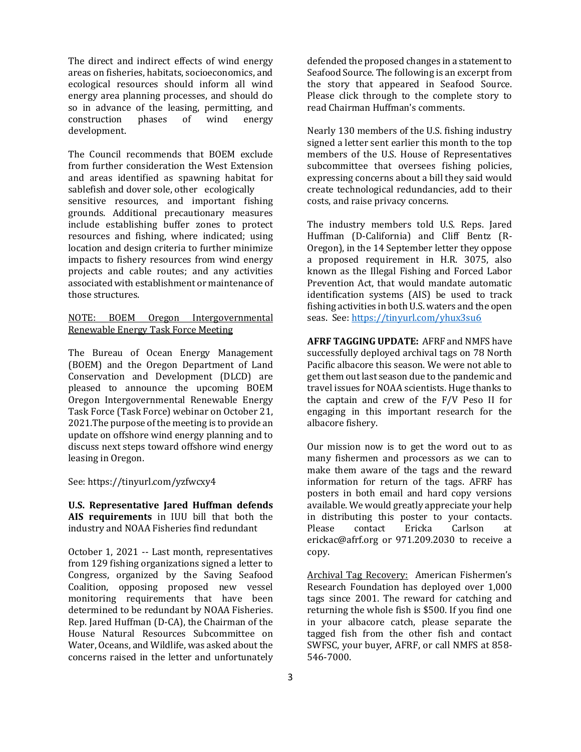The direct and indirect effects of wind energy areas on fisheries, habitats, socioeconomics, and ecological resources should inform all wind energy area planning processes, and should do so in advance of the leasing, permitting, and construction phases of wind energy development.

The Council recommends that BOEM exclude from further consideration the West Extension and areas identified as spawning habitat for sablefish and dover sole, other ecologically sensitive resources, and important fishing grounds. Additional precautionary measures include establishing buffer zones to protect resources and fishing, where indicated; using location and design criteria to further minimize impacts to fishery resources from wind energy projects and cable routes; and any activities associated with establishment or maintenance of those structures.

# NOTE: BOEM Oregon Intergovernmental Renewable Energy Task Force Meeting

The Bureau of Ocean Energy Management (BOEM) and the Oregon Department of Land Conservation and Development (DLCD) are pleased to announce the upcoming BOEM Oregon Intergovernmental Renewable Energy Task Force (Task Force) webinar on October 21, 2021.The purpose of the meeting is to provide an update on offshore wind energy planning and to discuss next steps toward offshore wind energy leasing in Oregon.

See: https://tinyurl.com/yzfwcxy4

U.S. Representative Jared Huffman defends AIS requirements in IUU bill that both the industry and NOAA Fisheries find redundant

October 1, 2021 -- Last month, representatives from 129 fishing organizations signed a letter to Congress, organized by the Saving Seafood Coalition, opposing proposed new vessel monitoring requirements that have been determined to be redundant by NOAA Fisheries. Rep. Jared Huffman (D-CA), the Chairman of the House Natural Resources Subcommittee on Water, Oceans, and Wildlife, was asked about the concerns raised in the letter and unfortunately

defended the proposed changes in a statement to Seafood Source. The following is an excerpt from the story that appeared in Seafood Source. Please click through to the complete story to read Chairman Huffman's comments.

Nearly 130 members of the U.S. fishing industry signed a letter sent earlier this month to the top members of the U.S. House of Representatives subcommittee that oversees fishing policies, expressing concerns about a bill they said would create technological redundancies, add to their costs, and raise privacy concerns.

The industry members told U.S. Reps. Jared Huffman (D-California) and Cliff Bentz (R-Oregon), in the 14 September letter they oppose a proposed requirement in H.R. 3075, also known as the Illegal Fishing and Forced Labor Prevention Act, that would mandate automatic identification systems (AIS) be used to track fishing activities in both U.S. waters and the open seas. See: https://tinyurl.com/yhux3su6

AFRF TAGGING UPDATE: AFRF and NMFS have successfully deployed archival tags on 78 North Pacific albacore this season. We were not able to get them out last season due to the pandemic and travel issues for NOAA scientists. Huge thanks to the captain and crew of the F/V Peso II for engaging in this important research for the albacore fishery.

Our mission now is to get the word out to as many fishermen and processors as we can to make them aware of the tags and the reward information for return of the tags. AFRF has posters in both email and hard copy versions available. We would greatly appreciate your help in distributing this poster to your contacts. Please contact Ericka Carlson at erickac@afrf.org or 971.209.2030 to receive a copy.

Archival Tag Recovery: American Fishermen's Research Foundation has deployed over 1,000 tags since 2001. The reward for catching and returning the whole fish is \$500. If you find one in your albacore catch, please separate the tagged fish from the other fish and contact SWFSC, your buyer, AFRF, or call NMFS at 858- 546-7000.